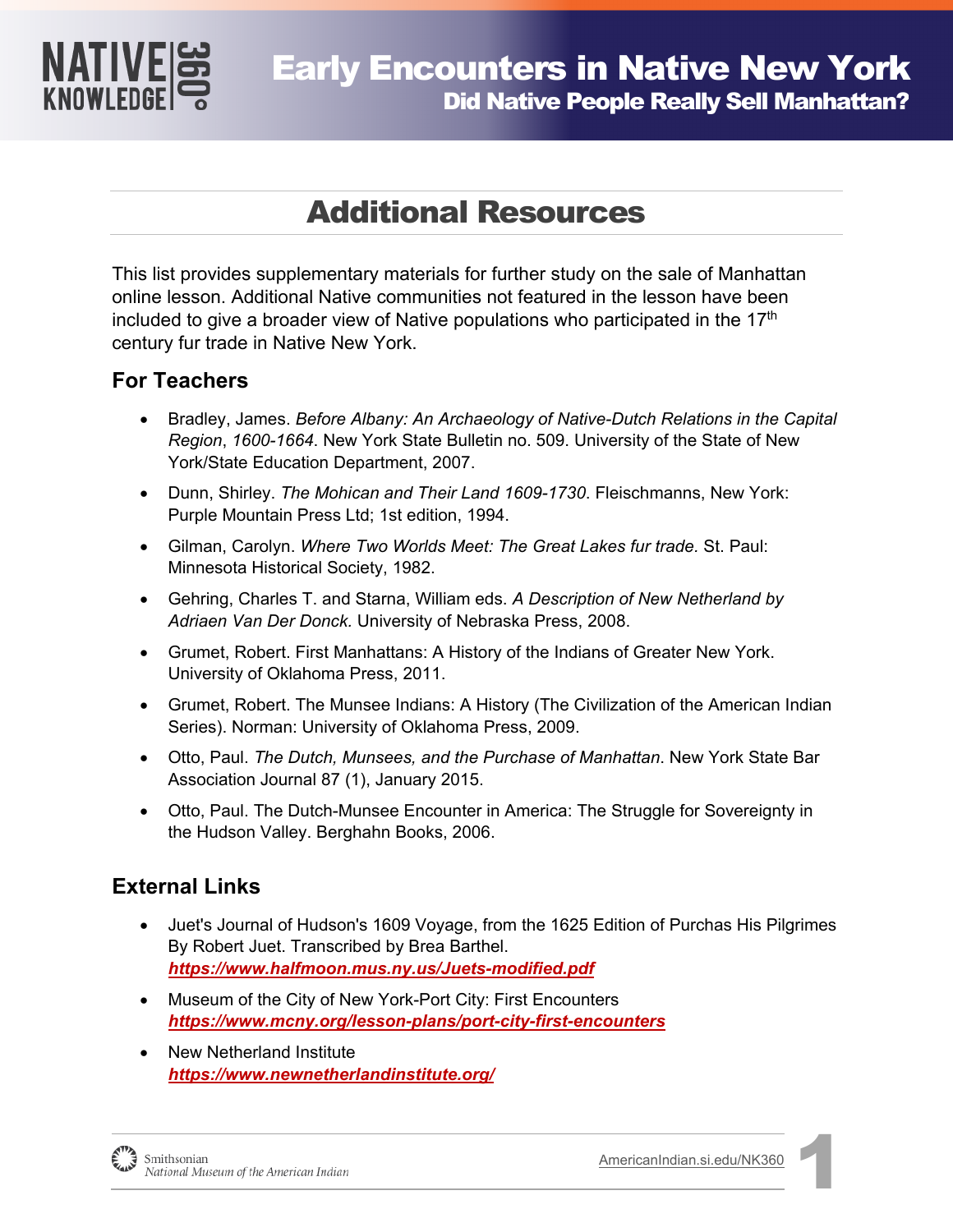

# Additional Resources

This list provides supplementary materials for further study on the sale of Manhattan online lesson. Additional Native communities not featured in the lesson have been included to give a broader view of Native populations who participated in the 17<sup>th</sup> century fur trade in Native New York.

## **For Teachers**

- Bradley, James. *Before Albany: An Archaeology of Native-Dutch Relations in the Capital Region*, *1600-1664*. New York State Bulletin no. 509. University of the State of New York/State Education Department, 2007.
- Dunn, Shirley. *The Mohican and Their Land 1609-1730*. Fleischmanns, New York: Purple Mountain Press Ltd; 1st edition, 1994.
- Gilman, Carolyn. *Where Two Worlds Meet: The Great Lakes fur trade.* St. Paul: Minnesota Historical Society, 1982.
- Gehring, Charles T. and Starna, William eds. *A Description of New Netherland by Adriaen Van Der Donck.* University of Nebraska Press, 2008.
- Grumet, Robert. First Manhattans: A History of the Indians of Greater New York. University of Oklahoma Press, 2011.
- Grumet, Robert. The Munsee Indians: A History (The Civilization of the American Indian Series). Norman: University of Oklahoma Press, 2009.
- Otto, Paul. *The Dutch, Munsees, and the Purchase of Manhattan*. New York State Bar Association Journal 87 (1), January 2015.
- Otto, Paul. The Dutch-Munsee Encounter in America: The Struggle for Sovereignty in the Hudson Valley. Berghahn Books, 2006.

## **External Links**

- Juet's Journal of Hudson's 1609 Voyage, from the 1625 Edition of Purchas His Pilgrimes By Robert Juet. Transcribed by Brea Barthel. *<https://www.halfmoon.mus.ny.us/Juets-modified.pdf>*
- Museum of the City of New York-Port City: First Encounters *<https://www.mcny.org/lesson-plans/port-city-first-encounters>*
- New Netherland Institute *<https://www.newnetherlandinstitute.org/>*